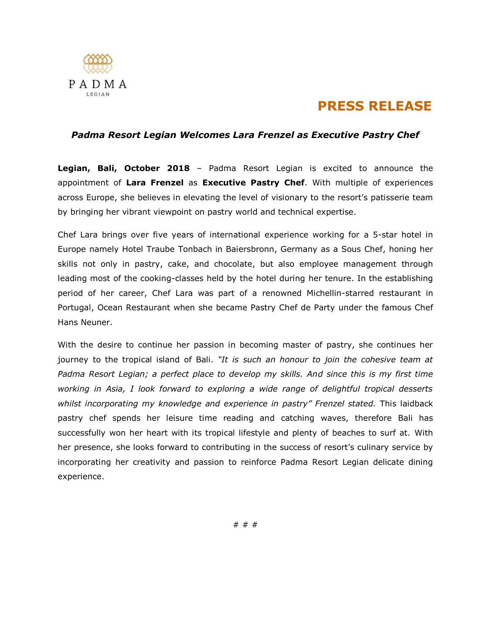

## **PRESS RELEASE**

## *Padma Resort Legian Welcomes Lara Frenzel as Executive Pastry Chef*

**Legian, Bali, October 2018** – Padma Resort Legian is excited to announce the appointment of **Lara Frenzel** as **Executive Pastry Chef**. With multiple of experiences across Europe, she believes in elevating the level of visionary to the resort's patisserie team by bringing her vibrant viewpoint on pastry world and technical expertise.

Chef Lara brings over five years of international experience working for a 5-star hotel in Europe namely Hotel Traube Tonbach in Baiersbronn, Germany as a Sous Chef, honing her skills not only in pastry, cake, and chocolate, but also employee management through leading most of the cooking-classes held by the hotel during her tenure. In the establishing period of her career, Chef Lara was part of a renowned Michellin-starred restaurant in Portugal, Ocean Restaurant when she became Pastry Chef de Party under the famous Chef Hans Neuner.

With the desire to continue her passion in becoming master of pastry, she continues her journey to the tropical island of Bali. *"It is such an honour to join the cohesive team at Padma Resort Legian; a perfect place to develop my skills. And since this is my first time working in Asia, I look forward to exploring a wide range of delightful tropical desserts whilst incorporating my knowledge and experience in pastry" Frenzel stated.* This laidback pastry chef spends her leisure time reading and catching waves, therefore Bali has successfully won her heart with its tropical lifestyle and plenty of beaches to surf at. With her presence, she looks forward to contributing in the success of resort's culinary service by incorporating her creativity and passion to reinforce Padma Resort Legian delicate dining experience.

# # #